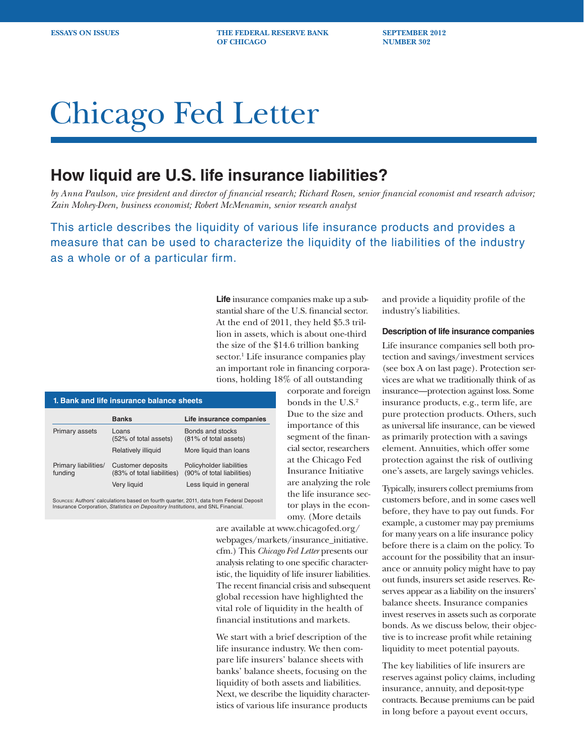**ESSAYS ON ISSUES THE FEDERAL RESERVE BANK SEPTEMBER 2012 OF CHICAGO NUMBER 302** 

# Chicago Fed Letter

# **How liquid are U.S. life insurance liabilities?**

*by Anna Paulson, vice president and director of financial research; Richard Rosen, senior financial economist and research advisor; Zain Mohey-Deen, business economist; Robert McMenamin, senior research analyst* 

This article describes the liquidity of various life insurance products and provides a measure that can be used to characterize the liquidity of the liabilities of the industry as a whole or of a particular firm.

> **Life** insurance companies make up a substantial share of the U.S. financial sector. At the end of 2011, they held \$5.3 trillion in assets, which is about one-third the size of the \$14.6 trillion banking sector.<sup>1</sup> Life insurance companies play an important role in financing corporations, holding 18% of all outstanding

| 1. Bank and life insurance balance sheets |                                                 |                                                        |  |  |  |
|-------------------------------------------|-------------------------------------------------|--------------------------------------------------------|--|--|--|
|                                           | <b>Banks</b>                                    | Life insurance companies                               |  |  |  |
| Primary assets                            | Loans<br>(52% of total assets)                  | Bonds and stocks<br>(81% of total assets)              |  |  |  |
|                                           | Relatively illiquid                             | More liquid than loans                                 |  |  |  |
| Primary liabilities/<br>funding           | Customer deposits<br>(83% of total liabilities) | Policyholder liabilities<br>(90% of total liabilities) |  |  |  |
|                                           | Very liguid                                     | Less liquid in general                                 |  |  |  |

Sources: Authors' calculations based on fourth quarter, 2011, data from Federal Deposit Insurance Corporation, *Statistics on Depository Institutions*, and SNL Financial.

corporate and foreign bonds in the U.S.2 Due to the size and importance of this segment of the financial sector, researchers at the Chicago Fed Insurance Initiative are analyzing the role the life insurance sector plays in the economy. (More details

are available at www.chicagofed.org/ webpages/markets/insurance\_initiative. cfm.) This *Chicago Fed Letter* presents our analysis relating to one specific characteristic, the liquidity of life insurer liabilities. The recent financial crisis and subsequent global recession have highlighted the vital role of liquidity in the health of financial institutions and markets.

We start with a brief description of the life insurance industry. We then compare life insurers' balance sheets with banks' balance sheets, focusing on the liquidity of both assets and liabilities. Next, we describe the liquidity characteristics of various life insurance products

and provide a liquidity profile of the industry's liabilities.

# **Description of life insurance companies**

Life insurance companies sell both protection and savings/investment services (see box A on last page). Protection services are what we traditionally think of as insurance—protection against loss. Some insurance products, e.g., term life, are pure protection products. Others, such as universal life insurance, can be viewed as primarily protection with a savings element. Annuities, which offer some protection against the risk of outliving one's assets, are largely savings vehicles.

Typically, insurers collect premiums from customers before, and in some cases well before, they have to pay out funds. For example, a customer may pay premiums for many years on a life insurance policy before there is a claim on the policy. To account for the possibility that an insurance or annuity policy might have to pay out funds, insurers set aside reserves. Reserves appear as a liability on the insurers' balance sheets. Insurance companies invest reserves in assets such as corporate bonds. As we discuss below, their objective is to increase profit while retaining liquidity to meet potential payouts.

The key liabilities of life insurers are reserves against policy claims, including insurance, annuity, and deposit-type contracts. Because premiums can be paid in long before a payout event occurs,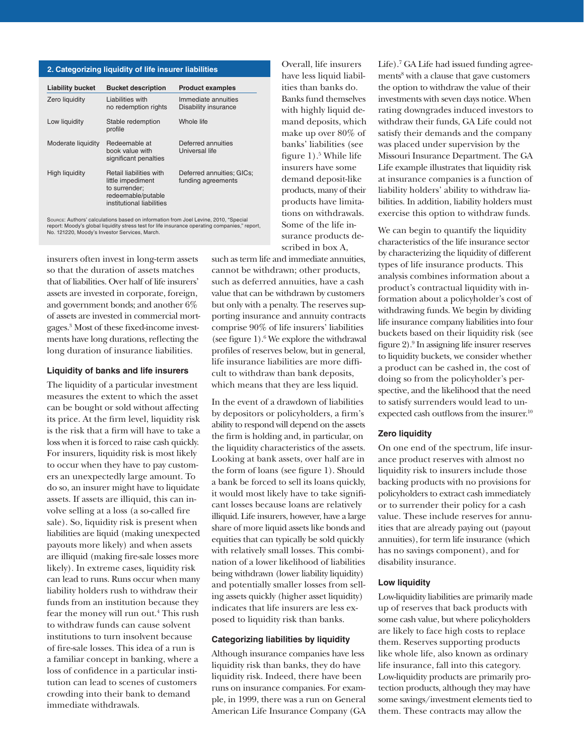#### **2. Categorizing liquidity of life insurer liabilities**

| <b>Liability bucket</b> | <b>Bucket description</b>                                                                                               | <b>Product examples</b>                         |
|-------------------------|-------------------------------------------------------------------------------------------------------------------------|-------------------------------------------------|
| Zero liquidity          | Liabilities with<br>no redemption rights                                                                                | Immediate annuities<br>Disability insurance     |
| Low liquidity           | Stable redemption<br>profile                                                                                            | Whole life                                      |
| Moderate liquidity      | Redeemable at<br>book value with<br>significant penalties                                                               | Deferred annuities<br>Universal life            |
| High liquidity          | <b>Retail liabilities with</b><br>little impediment<br>to surrender:<br>redeemable/putable<br>institutional liabilities | Deferred annuities; GICs;<br>funding agreements |

Source: Authors' calculations based on information from Joel Levine, 2010, "Special report: Moody's global liquidity stress test for life insurance operating companies," report, No. 121220, Moody's Investor Services, March.

insurers often invest in long-term assets so that the duration of assets matches that of liabilities. Over half of life insurers' assets are invested in corporate, foreign, and government bonds; and another 6% of assets are invested in commercial mortgages.3 Most of these fixed-income investments have long durations, reflecting the long duration of insurance liabilities.

## **Liquidity of banks and life insurers**

The liquidity of a particular investment measures the extent to which the asset can be bought or sold without affecting its price. At the firm level, liquidity risk is the risk that a firm will have to take a loss when it is forced to raise cash quickly. For insurers, liquidity risk is most likely to occur when they have to pay customers an unexpectedly large amount. To do so, an insurer might have to liquidate assets. If assets are illiquid, this can involve selling at a loss (a so-called fire sale). So, liquidity risk is present when liabilities are liquid (making unexpected payouts more likely) and when assets are illiquid (making fire-sale losses more likely). In extreme cases, liquidity risk can lead to runs. Runs occur when many liability holders rush to withdraw their funds from an institution because they fear the money will run out.<sup>4</sup> This rush to withdraw funds can cause solvent institutions to turn insolvent because of fire-sale losses. This idea of a run is a familiar concept in banking, where a loss of confidence in a particular institution can lead to scenes of customers crowding into their bank to demand immediate withdrawals.

such as term life and immediate annuities, cannot be withdrawn; other products, such as deferred annuities, have a cash value that can be withdrawn by customers but only with a penalty. The reserves supporting insurance and annuity contracts comprise 90% of life insurers' liabilities (see figure 1).6 We explore the withdrawal profiles of reserves below, but in general, life insurance liabilities are more difficult to withdraw than bank deposits, which means that they are less liquid.

Overall, life insurers have less liquid liabilities than banks do. Banks fund themselves with highly liquid demand deposits, which make up over 80% of banks' liabilities (see figure 1).<sup>5</sup> While life insurers have some demand deposit-like products, many of their products have limitations on withdrawals. Some of the life insurance products described in box A,

In the event of a drawdown of liabilities by depositors or policyholders, a firm's ability to respond will depend on the assets the firm is holding and, in particular, on the liquidity characteristics of the assets. Looking at bank assets, over half are in the form of loans (see figure 1). Should a bank be forced to sell its loans quickly, it would most likely have to take significant losses because loans are relatively illiquid. Life insurers, however, have a large share of more liquid assets like bonds and equities that can typically be sold quickly with relatively small losses. This combination of a lower likelihood of liabilities being withdrawn (lower liability liquidity) and potentially smaller losses from selling assets quickly (higher asset liquidity) indicates that life insurers are less exposed to liquidity risk than banks.

# **Categorizing liabilities by liquidity**

Although insurance companies have less liquidity risk than banks, they do have liquidity risk. Indeed, there have been runs on insurance companies. For example, in 1999, there was a run on General American Life Insurance Company (GA

Life).7 GA Life had issued funding agreements<sup>8</sup> with a clause that gave customers the option to withdraw the value of their investments with seven days notice. When rating downgrades induced investors to withdraw their funds, GA Life could not satisfy their demands and the company was placed under supervision by the Missouri Insurance Department. The GA Life example illustrates that liquidity risk at insurance companies is a function of liability holders' ability to withdraw liabilities. In addition, liability holders must exercise this option to withdraw funds.

We can begin to quantify the liquidity characteristics of the life insurance sector by characterizing the liquidity of different types of life insurance products. This analysis combines information about a product's contractual liquidity with information about a policyholder's cost of withdrawing funds. We begin by dividing life insurance company liabilities into four buckets based on their liquidity risk (see figure 2).9 In assigning life insurer reserves to liquidity buckets, we consider whether a product can be cashed in, the cost of doing so from the policyholder's perspective, and the likelihood that the need to satisfy surrenders would lead to unexpected cash outflows from the insurer.<sup>10</sup>

## **Zero liquidity**

On one end of the spectrum, life insurance product reserves with almost no liquidity risk to insurers include those backing products with no provisions for policyholders to extract cash immediately or to surrender their policy for a cash value. These include reserves for annuities that are already paying out (payout annuities), for term life insurance (which has no savings component), and for disability insurance.

#### **Low liquidity**

Low-liquidity liabilities are primarily made up of reserves that back products with some cash value, but where policyholders are likely to face high costs to replace them. Reserves supporting products like whole life, also known as ordinary life insurance, fall into this category. Low-liquidity products are primarily protection products, although they may have some savings/investment elements tied to them. These contracts may allow the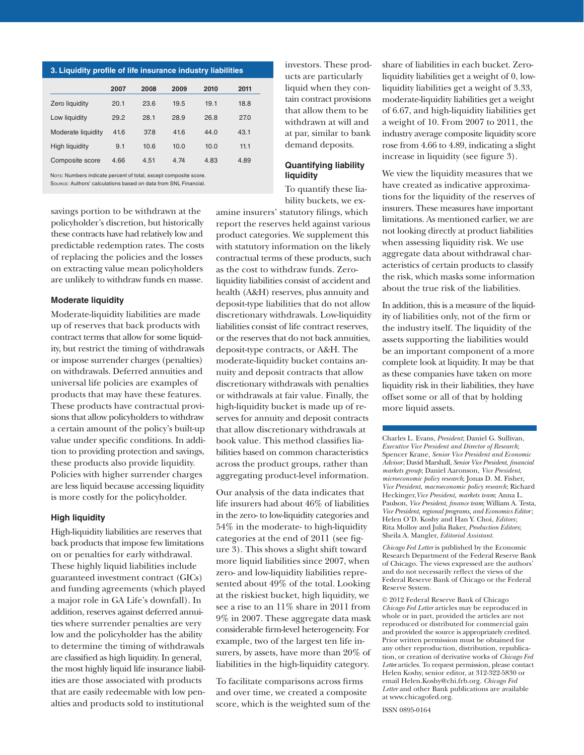| 3. Liquidity profile of life insurance industry liabilities |      |      |      |      |      |  |
|-------------------------------------------------------------|------|------|------|------|------|--|
|                                                             | 2007 | 2008 | 2009 | 2010 | 2011 |  |
| Zero liquidity                                              | 20.1 | 23.6 | 19.5 | 19.1 | 18.8 |  |
| Low liquidity                                               | 29.2 | 28.1 | 28.9 | 26.8 | 27.0 |  |
| Moderate liquidity                                          | 41.6 | 37.8 | 41.6 | 44.0 | 43.1 |  |
| High liguidity                                              | 9.1  | 10.6 | 10.0 | 10.0 | 11.1 |  |
| Composite score                                             | 4.66 | 4.51 | 4.74 | 4.83 | 4.89 |  |

Note: Numbers indicate percent of total, except composite score. Source: Authors' calculations based on data from SNL Financial.

savings portion to be withdrawn at the policyholder's discretion, but historically these contracts have had relatively low and predictable redemption rates. The costs of replacing the policies and the losses on extracting value mean policyholders are unlikely to withdraw funds en masse.

# **Moderate liquidity**

Moderate-liquidity liabilities are made up of reserves that back products with contract terms that allow for some liquidity, but restrict the timing of withdrawals or impose surrender charges (penalties) on withdrawals. Deferred annuities and universal life policies are examples of products that may have these features. These products have contractual provisions that allow policyholders to withdraw a certain amount of the policy's built-up value under specific conditions. In addition to providing protection and savings, these products also provide liquidity. Policies with higher surrender charges are less liquid because accessing liquidity is more costly for the policyholder.

# **High liquidity**

High-liquidity liabilities are reserves that back products that impose few limitations on or penalties for early withdrawal. These highly liquid liabilities include guaranteed investment contract (GICs) and funding agreements (which played a major role in GA Life's downfall). In addition, reserves against deferred annuities where surrender penalties are very low and the policyholder has the ability to determine the timing of withdrawals are classified as high liquidity. In general, the most highly liquid life insurance liabilities are those associated with products that are easily redeemable with low penalties and products sold to institutional

investors. These products are particularly liquid when they contain contract provisions that allow them to be withdrawn at will and at par, similar to bank demand deposits.

# **Quantifying liability liquidity**

To quantify these liability buckets, we ex-

amine insurers' statutory filings, which report the reserves held against various product categories. We supplement this with statutory information on the likely contractual terms of these products, such as the cost to withdraw funds. Zeroliquidity liabilities consist of accident and health (A&H) reserves, plus annuity and deposit-type liabilities that do not allow discretionary withdrawals. Low-liquidity liabilities consist of life contract reserves, or the reserves that do not back annuities, deposit-type contracts, or A&H. The moderate-liquidity bucket contains annuity and deposit contracts that allow discretionary withdrawals with penalties or withdrawals at fair value. Finally, the high-liquidity bucket is made up of reserves for annuity and deposit contracts that allow discretionary withdrawals at book value. This method classifies liabilities based on common characteristics across the product groups, rather than aggregating product-level information.

Our analysis of the data indicates that life insurers had about 46% of liabilities in the zero- to low-liquidity categories and 54% in the moderate- to high-liquidity categories at the end of 2011 (see figure 3). This shows a slight shift toward more liquid liabilities since 2007, when zero- and low-liquidity liabilities represented about 49% of the total. Looking at the riskiest bucket, high liquidity, we see a rise to an 11% share in 2011 from 9% in 2007. These aggregate data mask considerable firm-level heterogeneity. For example, two of the largest ten life insurers, by assets, have more than 20% of liabilities in the high-liquidity category.

To facilitate comparisons across firms and over time, we created a composite score, which is the weighted sum of the share of liabilities in each bucket. Zeroliquidity liabilities get a weight of 0, lowliquidity liabilities get a weight of 3.33, moderate-liquidity liabilities get a weight of 6.67, and high-liquidity liabilities get a weight of 10. From 2007 to 2011, the industry average composite liquidity score rose from 4.66 to 4.89, indicating a slight increase in liquidity (see figure 3).

We view the liquidity measures that we have created as indicative approximations for the liquidity of the reserves of insurers. These measures have important limitations. As mentioned earlier, we are not looking directly at product liabilities when assessing liquidity risk. We use aggregate data about withdrawal characteristics of certain products to classify the risk, which masks some information about the true risk of the liabilities.

In addition, this is a measure of the liquidity of liabilities only, not of the firm or the industry itself. The liquidity of the assets supporting the liabilities would be an important component of a more complete look at liquidity. It may be that as these companies have taken on more liquidity risk in their liabilities, they have offset some or all of that by holding more liquid assets.

Charles L. Evans, *President*; Daniel G. Sullivan, *Executive Vice President and Director of Research*; Spencer Krane, *Senior Vice President and Economic Advisor*; David Marshall, *Senior Vice President*, *financial markets group*; Daniel Aaronson, *Vice President*, *microeconomic policy research*; Jonas D. M. Fisher, *Vice President*, *macroeconomic policy research*; Richard Heckinger,*Vice President*, *markets team*; Anna L. Paulson, *Vice President*, *finance team*; William A. Testa, *Vice President*, *regional programs*, *and Economics Editor*; Helen O'D. Koshy and Han Y. Choi, *Editors* ; Rita Molloy and Julia Baker, *Production Editors*; Sheila A. Mangler, *Editorial Assistant.* 

*Chicago Fed Letter* is published by the Economic Research Department of the Federal Reserve Bank of Chicago. The views expressed are the authors' and do not necessarily reflect the views of the Federal Reserve Bank of Chicago or the Federal Reserve System.

© 2012 Federal Reserve Bank of Chicago *Chicago Fed Letter* articles may be reproduced in whole or in part, provided the articles are not reproduced or distributed for commercial gain and provided the source is appropriately credited. Prior written permission must be obtained for any other reproduction, distribution, republication, or creation of derivative works of *Chicago Fed Letter* articles. To request permission, please contact Helen Koshy, senior editor, at 312-322-5830 or email Helen.Koshy@chi.frb.org. *Chicago Fed Letter* and other Bank publications are available at www.chicagofed.org.

ISSN 0895-0164